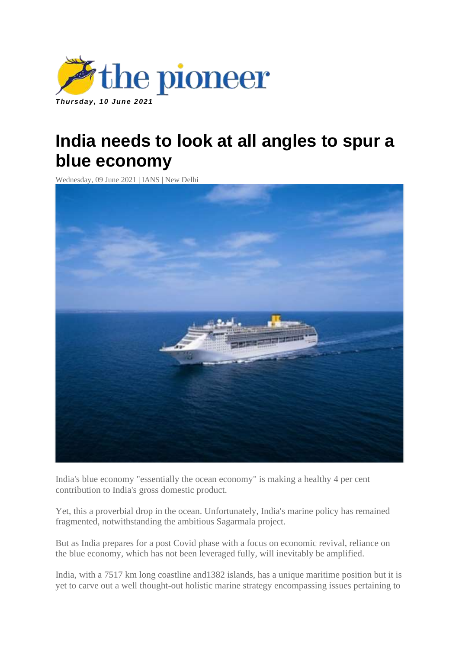

## **India needs to look at all angles to spur a blue economy**

Wednesday, 09 June 2021 | IANS | New Delhi



India's blue economy "essentially the ocean economy" is making a healthy 4 per cent contribution to India's gross domestic product.

Yet, this a proverbial drop in the ocean. Unfortunately, India's marine policy has remained fragmented, notwithstanding the ambitious Sagarmala project.

But as India prepares for a post Covid phase with a focus on economic revival, reliance on the blue economy, which has not been leveraged fully, will inevitably be amplified.

India, with a 7517 km long coastline and1382 islands, has a unique maritime position but it is yet to carve out a well thought-out holistic marine strategy encompassing issues pertaining to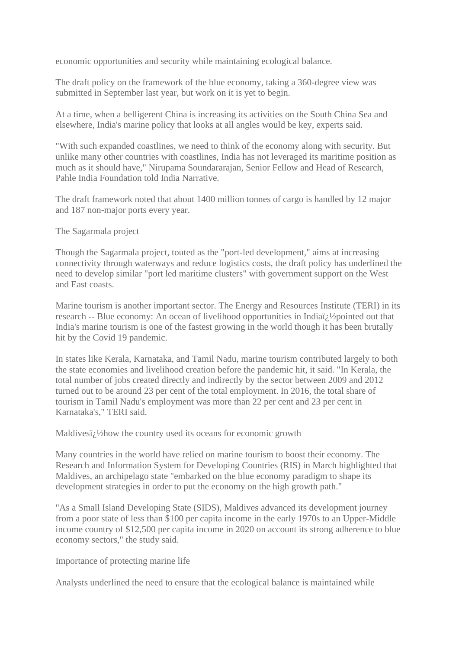economic opportunities and security while maintaining ecological balance.

The draft policy on the framework of the blue economy, taking a 360-degree view was submitted in September last year, but work on it is yet to begin.

At a time, when a belligerent China is increasing its activities on the South China Sea and elsewhere, India's marine policy that looks at all angles would be key, experts said.

"With such expanded coastlines, we need to think of the economy along with security. But unlike many other countries with coastlines, India has not leveraged its maritime position as much as it should have," Nirupama Soundararajan, Senior Fellow and Head of Research, Pahle India Foundation told India Narrative.

The draft framework noted that about 1400 million tonnes of cargo is handled by 12 major and 187 non-major ports every year.

The Sagarmala project

Though the Sagarmala project, touted as the "port-led development," aims at increasing connectivity through waterways and reduce logistics costs, the draft policy has underlined the need to develop similar "port led maritime clusters" with government support on the West and East coasts.

Marine tourism is another important sector. The Energy and Resources Institute (TERI) in its research -- Blue economy: An ocean of livelihood opportunities in India $\ddot{i}$   $\ddot{j}$  /2pointed out that India's marine tourism is one of the fastest growing in the world though it has been brutally hit by the Covid 19 pandemic.

In states like Kerala, Karnataka, and Tamil Nadu, marine tourism contributed largely to both the state economies and livelihood creation before the pandemic hit, it said. "In Kerala, the total number of jobs created directly and indirectly by the sector between 2009 and 2012 turned out to be around 23 per cent of the total employment. In 2016, the total share of tourism in Tamil Nadu's employment was more than 22 per cent and 23 per cent in Karnataka's," TERI said.

Maldivesi $\chi$ <sup>1</sup>/2 how the country used its oceans for economic growth

Many countries in the world have relied on marine tourism to boost their economy. The Research and Information System for Developing Countries (RIS) in March highlighted that Maldives, an archipelago state "embarked on the blue economy paradigm to shape its development strategies in order to put the economy on the high growth path."

"As a Small Island Developing State (SIDS), Maldives advanced its development journey from a poor state of less than \$100 per capita income in the early 1970s to an Upper-Middle income country of \$12,500 per capita income in 2020 on account its strong adherence to blue economy sectors," the study said.

Importance of protecting marine life

Analysts underlined the need to ensure that the ecological balance is maintained while